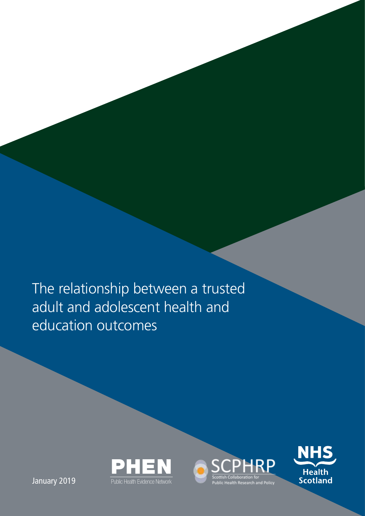The relationship between a trusted adult and adolescent health and education outcomes





January 2019 **Public Health Evidence Network**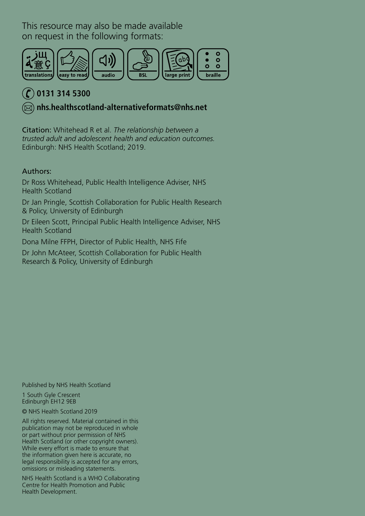This resource may also be made available on request in the following formats:



### **0131 314 5300**

 **[nhs.healthscotland-alternativeformats@nhs.net](mailto:nhs.healthscotland-alternativeformats%40nhs.net?subject=)**

Citation: Whitehead R et al. *The relationship between a trusted adult and adolescent health and education outcomes.* Edinburgh: NHS Health Scotland; 2019.

### Authors:

Dr Ross Whitehead, Public Health Intelligence Adviser, NHS Health Scotland

Dr Jan Pringle, Scottish Collaboration for Public Health Research & Policy, University of Edinburgh

Dr Eileen Scott, Principal Public Health Intelligence Adviser, NHS Health Scotland

Dona Milne FFPH, Director of Public Health, NHS Fife

Dr John McAteer, Scottish Collaboration for Public Health Research & Policy, University of Edinburgh

Published by NHS Health Scotland

1 South Gyle Crescent Edinburgh EH12 9EB

© NHS Health Scotland 2019

All rights reserved. Material contained in this publication may not be reproduced in whole or part without prior permission of NHS Health Scotland (or other copyright owners). While every effort is made to ensure that the information given here is accurate, no legal responsibility is accepted for any errors, omissions or misleading statements.

NHS Health Scotland is a WHO Collaborating Centre for Health Promotion and Public Health Development.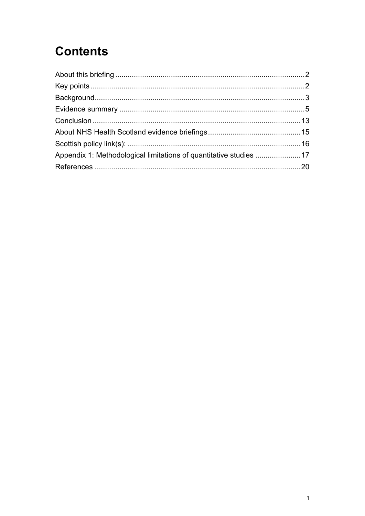# **Contents**

| Appendix 1: Methodological limitations of quantitative studies  17 |  |
|--------------------------------------------------------------------|--|
|                                                                    |  |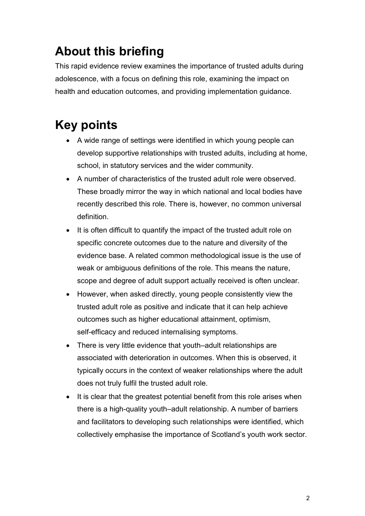# <span id="page-3-0"></span>**About this briefing**

This rapid evidence review examines the importance of trusted adults during adolescence, with a focus on defining this role, examining the impact on health and education outcomes, and providing implementation guidance.

# <span id="page-3-1"></span>**Key points**

- A wide range of settings were identified in which young people can develop supportive relationships with trusted adults, including at home, school, in statutory services and the wider community.
- A number of characteristics of the trusted adult role were observed. These broadly mirror the way in which national and local bodies have recently described this role. There is, however, no common universal definition.
- It is often difficult to quantify the impact of the trusted adult role on specific concrete outcomes due to the nature and diversity of the evidence base. A related common methodological issue is the use of weak or ambiguous definitions of the role. This means the nature, scope and degree of adult support actually received is often unclear.
- However, when asked directly, young people consistently view the trusted adult role as positive and indicate that it can help achieve outcomes such as higher educational attainment, optimism, self-efficacy and reduced internalising symptoms.
- There is very little evidence that youth–adult relationships are associated with deterioration in outcomes. When this is observed, it typically occurs in the context of weaker relationships where the adult does not truly fulfil the trusted adult role.
- It is clear that the greatest potential benefit from this role arises when there is a high-quality youth–adult relationship. A number of barriers and facilitators to developing such relationships were identified, which collectively emphasise the importance of Scotland's youth work sector.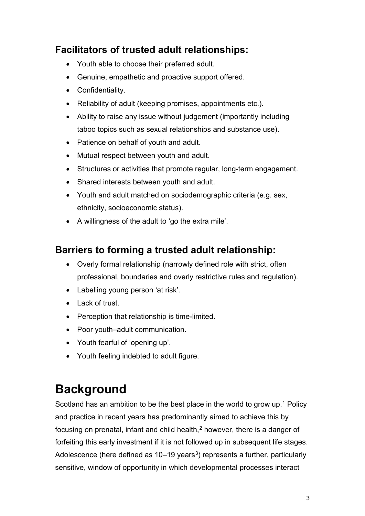### **Facilitators of trusted adult relationships:**

- Youth able to choose their preferred adult.
- Genuine, empathetic and proactive support offered.
- Confidentiality.
- Reliability of adult (keeping promises, appointments etc.).
- Ability to raise any issue without judgement (importantly including taboo topics such as sexual relationships and substance use).
- Patience on behalf of youth and adult.
- Mutual respect between youth and adult.
- Structures or activities that promote regular, long-term engagement.
- Shared interests between youth and adult.
- Youth and adult matched on sociodemographic criteria (e.g. sex, ethnicity, socioeconomic status).
- A willingness of the adult to 'go the extra mile'.

### **Barriers to forming a trusted adult relationship:**

- Overly formal relationship (narrowly defined role with strict, often professional, boundaries and overly restrictive rules and regulation).
- Labelling young person 'at risk'.
- Lack of trust.
- Perception that relationship is time-limited.
- Poor youth–adult communication.
- Youth fearful of 'opening up'.
- Youth feeling indebted to adult figure.

## <span id="page-4-0"></span>**Background**

Scotland has an ambition to be the best place in the world to grow up.<sup>[1](#page-21-1)</sup> Policy and practice in recent years has predominantly aimed to achieve this by focusing on prenatal, infant and child health,<sup>[2](#page-21-2)</sup> however, there is a danger of forfeiting this early investment if it is not followed up in subsequent life stages. Adolescence (here defined as  $10-19$  years<sup>[3](#page-21-3)</sup>) represents a further, particularly sensitive, window of opportunity in which developmental processes interact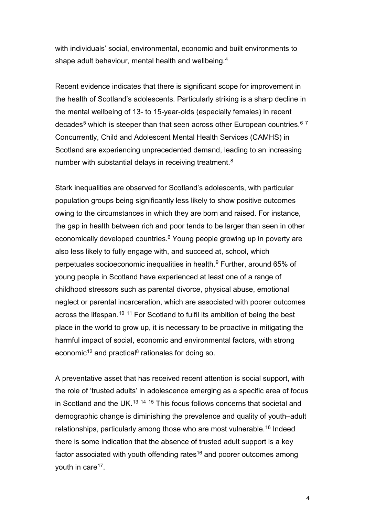with individuals' social, environmental, economic and built environments to shape adult behaviour, mental health and wellbeing.[4](#page-21-4)

<span id="page-5-0"></span>Recent evidence indicates that there is significant scope for improvement in the health of Scotland's adolescents. Particularly striking is a sharp decline in the mental wellbeing of 13- to 15-year-olds (especially females) in recent decades<sup>[5](#page-21-5)</sup> which is steeper than that seen across other European countries.<sup>[6](#page-21-6)[7](#page-22-0)</sup> Concurrently, Child and Adolescent Mental Health Services (CAMHS) in Scotland are experiencing unprecedented demand, leading to an increasing number with substantial delays in receiving treatment.<sup>[8](#page-22-1)</sup>

<span id="page-5-1"></span>Stark inequalities are observed for Scotland's adolescents, with particular population groups being significantly less likely to show positive outcomes owing to the circumstances in which they are born and raised. For instance, the gap in health between rich and poor tends to be larger than seen in other economically developed countries.<sup>6</sup> Young people growing up in poverty are also less likely to fully engage with, and succeed at, school, which perpetuates socioeconomic inequalities in health.<sup>[9](#page-22-2)</sup> Further, around 65% of young people in Scotland have experienced at least one of a range of childhood stressors such as parental divorce, physical abuse, emotional neglect or parental incarceration, which are associated with poorer outcomes across the lifespan.<sup>[10](#page-22-3) [11](#page-22-4)</sup> For Scotland to fulfil its ambition of being the best place in the world to grow up, it is necessary to be proactive in mitigating the harmful impact of social, economic and environmental factors, with strong economic<sup>[12](#page-22-5)</sup> and practical<sup>8</sup> rationales for doing so.

A preventative asset that has received recent attention is social support, with the role of 'trusted adults' in adolescence emerging as a specific area of focus in Scotland and the UK.<sup>[13](#page-22-6) [14](#page-23-0) [15](#page-23-1)</sup> This focus follows concerns that societal and demographic change is diminishing the prevalence and quality of youth–adult relationships, particularly among those who are most vulnerable. [16](#page-23-2) Indeed there is some indication that the absence of trusted adult support is a key factor associated with youth offending rates<sup>16</sup> and poorer outcomes among youth in care<sup>[17](#page-23-3)</sup>.

<span id="page-5-2"></span>4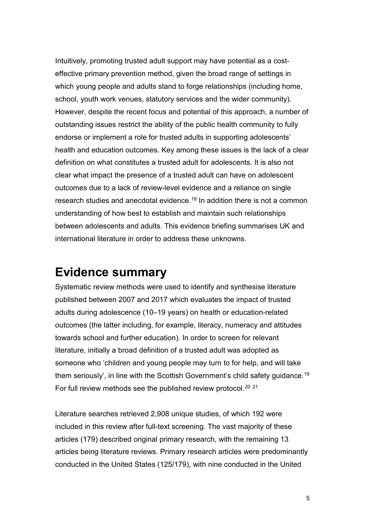Intuitively, promoting trusted adult support may have potential as a costeffective primary prevention method, given the broad range of settings in which young people and adults stand to forge relationships (including home, school, youth work venues, statutory services and the wider community). However, despite the recent focus and potential of this approach, a number of outstanding issues restrict the ability of the public health community to fully endorse or implement a role for trusted adults in supporting adolescents' health and education outcomes. Key among these issues is the lack of a clear definition on what constitutes a trusted adult for adolescents. It is also not clear what impact the presence of a trusted adult can have on adolescent outcomes due to a lack of review-level evidence and a reliance on single research studies and anecdotal evidence.<sup>[18](#page-23-4)</sup> In addition there is not a common understanding of how best to establish and maintain such relationships between adolescents and adults. This evidence briefing summarises UK and international literature in order to address these unknowns.

## <span id="page-6-0"></span>**Evidence summary**

Systematic review methods were used to identify and synthesise literature published between 2007 and 2017 which evaluates the impact of trusted adults during adolescence (10–19 years) on health or education-related outcomes (the latter including, for example, literacy, numeracy and attitudes towards school and further education). In order to screen for relevant literature, initially a broad definition of a trusted adult was adopted as someone who 'children and young people may turn to for help, and will take them seriously', in line with the Scottish Government's child safety guidance. [19](#page-23-5) For full review methods see the published review protocol.<sup>[20](#page-23-6)</sup><sup>[21](#page-24-0)</sup>

Literature searches retrieved 2,908 unique studies, of which 192 were included in this review after full-text screening. The vast majority of these articles (179) described original primary research, with the remaining 13 articles being literature reviews. Primary research articles were predominantly conducted in the United States (125/179), with nine conducted in the United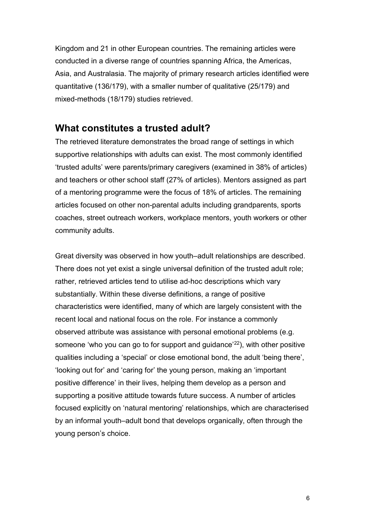Kingdom and 21 in other European countries. The remaining articles were conducted in a diverse range of countries spanning Africa, the Americas, Asia, and Australasia. The majority of primary research articles identified were quantitative (136/179), with a smaller number of qualitative (25/179) and mixed-methods (18/179) studies retrieved.

### **What constitutes a trusted adult?**

The retrieved literature demonstrates the broad range of settings in which supportive relationships with adults can exist. The most commonly identified 'trusted adults' were parents/primary caregivers (examined in 38% of articles) and teachers or other school staff (27% of articles). Mentors assigned as part of a mentoring programme were the focus of 18% of articles. The remaining articles focused on other non-parental adults including grandparents, sports coaches, street outreach workers, workplace mentors, youth workers or other community adults.

Great diversity was observed in how youth–adult relationships are described. There does not yet exist a single universal definition of the trusted adult role; rather, retrieved articles tend to utilise ad-hoc descriptions which vary substantially. Within these diverse definitions, a range of positive characteristics were identified, many of which are largely consistent with the recent local and national focus on the role. For instance a commonly observed attribute was assistance with personal emotional problems (e.g. someone 'who you can go to for support and guidance'<sup>22</sup>), with other positive qualities including a 'special' or close emotional bond, the adult 'being there', 'looking out for' and 'caring for' the young person, making an 'important positive difference' in their lives, helping them develop as a person and supporting a positive attitude towards future success. A number of articles focused explicitly on 'natural mentoring' relationships, which are characterised by an informal youth–adult bond that develops organically, often through the young person's choice.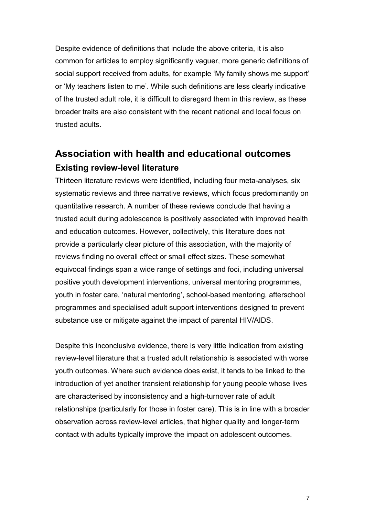Despite evidence of definitions that include the above criteria, it is also common for articles to employ significantly vaguer, more generic definitions of social support received from adults, for example 'My family shows me support' or 'My teachers listen to me'. While such definitions are less clearly indicative of the trusted adult role, it is difficult to disregard them in this review, as these broader traits are also consistent with the recent national and local focus on trusted adults.

### **Association with health and educational outcomes Existing review-level literature**

Thirteen literature reviews were identified, including four meta-analyses, six systematic reviews and three narrative reviews, which focus predominantly on quantitative research. A number of these reviews conclude that having a trusted adult during adolescence is positively associated with improved health and education outcomes. However, collectively, this literature does not provide a particularly clear picture of this association, with the majority of reviews finding no overall effect or small effect sizes. These somewhat equivocal findings span a wide range of settings and foci, including universal positive youth development interventions, universal mentoring programmes, youth in foster care, 'natural mentoring', school-based mentoring, afterschool programmes and specialised adult support interventions designed to prevent substance use or mitigate against the impact of parental HIV/AIDS.

Despite this inconclusive evidence, there is very little indication from existing review-level literature that a trusted adult relationship is associated with worse youth outcomes. Where such evidence does exist, it tends to be linked to the introduction of yet another transient relationship for young people whose lives are characterised by inconsistency and a high-turnover rate of adult relationships (particularly for those in foster care). This is in line with a broader observation across review-level articles, that higher quality and longer-term contact with adults typically improve the impact on adolescent outcomes.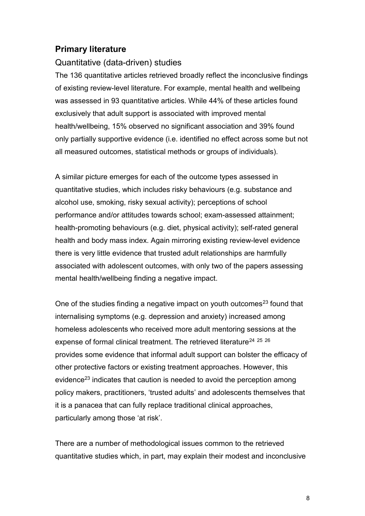### **Primary literature**

#### Quantitative (data-driven) studies

The 136 quantitative articles retrieved broadly reflect the inconclusive findings of existing review-level literature. For example, mental health and wellbeing was assessed in 93 quantitative articles. While 44% of these articles found exclusively that adult support is associated with improved mental health/wellbeing, 15% observed no significant association and 39% found only partially supportive evidence (i.e. identified no effect across some but not all measured outcomes, statistical methods or groups of individuals).

A similar picture emerges for each of the outcome types assessed in quantitative studies, which includes risky behaviours (e.g. substance and alcohol use, smoking, risky sexual activity); perceptions of school performance and/or attitudes towards school; exam-assessed attainment; health-promoting behaviours (e.g. diet, physical activity); self-rated general health and body mass index. Again mirroring existing review-level evidence there is very little evidence that trusted adult relationships are harmfully associated with adolescent outcomes, with only two of the papers assessing mental health/wellbeing finding a negative impact.

<span id="page-9-0"></span>One of the studies finding a negative impact on youth outcomes<sup>[23](#page-24-2)</sup> found that internalising symptoms (e.g. depression and anxiety) increased among homeless adolescents who received more adult mentoring sessions at the expense of formal clinical treatment. The retrieved literature<sup>[24](#page-24-3)</sup> <sup>[25](#page-24-4)</sup> <sup>[26](#page-24-5)</sup> provides some evidence that informal adult support can bolster the efficacy of other protective factors or existing treatment approaches. However, this evidence<sup>23</sup> indicates that caution is needed to avoid the perception among policy makers, practitioners, 'trusted adults' and adolescents themselves that it is a panacea that can fully replace traditional clinical approaches, particularly among those 'at risk'.

There are a number of methodological issues common to the retrieved quantitative studies which, in part, may explain their modest and inconclusive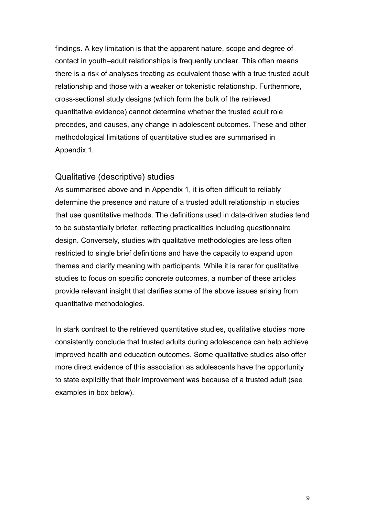findings. A key limitation is that the apparent nature, scope and degree of contact in youth–adult relationships is frequently unclear. This often means there is a risk of analyses treating as equivalent those with a true trusted adult relationship and those with a weaker or tokenistic relationship. Furthermore, cross-sectional study designs (which form the bulk of the retrieved quantitative evidence) cannot determine whether the trusted adult role precedes, and causes, any change in adolescent outcomes. These and other methodological limitations of quantitative studies are summarised in Appendix 1.

### Qualitative (descriptive) studies

As summarised above and in Appendix 1, it is often difficult to reliably determine the presence and nature of a trusted adult relationship in studies that use quantitative methods. The definitions used in data-driven studies tend to be substantially briefer, reflecting practicalities including questionnaire design. Conversely, studies with qualitative methodologies are less often restricted to single brief definitions and have the capacity to expand upon themes and clarify meaning with participants. While it is rarer for qualitative studies to focus on specific concrete outcomes, a number of these articles provide relevant insight that clarifies some of the above issues arising from quantitative methodologies.

In stark contrast to the retrieved quantitative studies, qualitative studies more consistently conclude that trusted adults during adolescence can help achieve improved health and education outcomes. Some qualitative studies also offer more direct evidence of this association as adolescents have the opportunity to state explicitly that their improvement was because of a trusted adult (see examples in box below).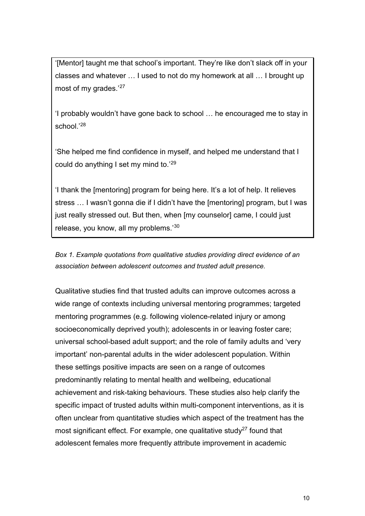<span id="page-11-0"></span>'[Mentor] taught me that school's important. They're like don't slack off in your classes and whatever … I used to not do my homework at all … I brought up most of my grades.'[27](#page-24-6)

'I probably wouldn't have gone back to school … he encouraged me to stay in school.'[28](#page-24-7)

'She helped me find confidence in myself, and helped me understand that I could do anything I set my mind to.'[29](#page-25-0)

'I thank the [mentoring] program for being here. It's a lot of help. It relieves stress … I wasn't gonna die if I didn't have the [mentoring] program, but I was just really stressed out. But then, when [my counselor] came, I could just release, you know, all my problems.'[30](#page-25-1)

*Box 1. Example quotations from qualitative studies providing direct evidence of an association between adolescent outcomes and trusted adult presence.*

Qualitative studies find that trusted adults can improve outcomes across a wide range of contexts including universal mentoring programmes; targeted mentoring programmes (e.g. following violence-related injury or among socioeconomically deprived youth); adolescents in or leaving foster care; universal school-based adult support; and the role of family adults and 'very important' non-parental adults in the wider adolescent population. Within these settings positive impacts are seen on a range of outcomes predominantly relating to mental health and wellbeing, educational achievement and risk-taking behaviours. These studies also help clarify the specific impact of trusted adults within multi-component interventions, as it is often unclear from quantitative studies which aspect of the treatment has the most significant effect. For example, one qualitative study<sup>27</sup> found that adolescent females more frequently attribute improvement in academic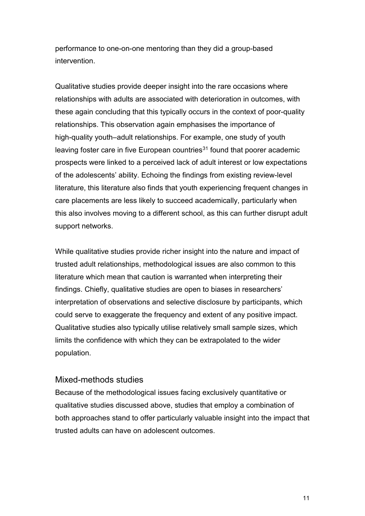performance to one-on-one mentoring than they did a group-based intervention.

Qualitative studies provide deeper insight into the rare occasions where relationships with adults are associated with deterioration in outcomes, with these again concluding that this typically occurs in the context of poor-quality relationships. This observation again emphasises the importance of high-quality youth–adult relationships. For example, one study of youth leaving foster care in five European countries<sup>[31](#page-25-2)</sup> found that poorer academic prospects were linked to a perceived lack of adult interest or low expectations of the adolescents' ability. Echoing the findings from existing review-level literature, this literature also finds that youth experiencing frequent changes in care placements are less likely to succeed academically, particularly when this also involves moving to a different school, as this can further disrupt adult support networks.

While qualitative studies provide richer insight into the nature and impact of trusted adult relationships, methodological issues are also common to this literature which mean that caution is warranted when interpreting their findings. Chiefly, qualitative studies are open to biases in researchers' interpretation of observations and selective disclosure by participants, which could serve to exaggerate the frequency and extent of any positive impact. Qualitative studies also typically utilise relatively small sample sizes, which limits the confidence with which they can be extrapolated to the wider population.

### Mixed-methods studies

Because of the methodological issues facing exclusively quantitative or qualitative studies discussed above, studies that employ a combination of both approaches stand to offer particularly valuable insight into the impact that trusted adults can have on adolescent outcomes.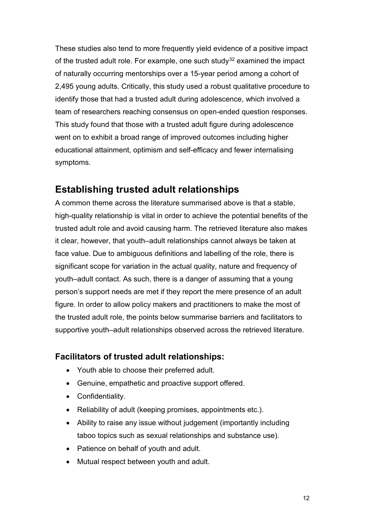These studies also tend to more frequently yield evidence of a positive impact of the trusted adult role. For example, one such study<sup>[32](#page-25-3)</sup> examined the impact of naturally occurring mentorships over a 15-year period among a cohort of 2,495 young adults. Critically, this study used a robust qualitative procedure to identify those that had a trusted adult during adolescence, which involved a team of researchers reaching consensus on open-ended question responses. This study found that those with a trusted adult figure during adolescence went on to exhibit a broad range of improved outcomes including higher educational attainment, optimism and self-efficacy and fewer internalising symptoms.

### **Establishing trusted adult relationships**

A common theme across the literature summarised above is that a stable, high-quality relationship is vital in order to achieve the potential benefits of the trusted adult role and avoid causing harm. The retrieved literature also makes it clear, however, that youth–adult relationships cannot always be taken at face value. Due to ambiguous definitions and labelling of the role, there is significant scope for variation in the actual quality, nature and frequency of youth–adult contact. As such, there is a danger of assuming that a young person's support needs are met if they report the mere presence of an adult figure. In order to allow policy makers and practitioners to make the most of the trusted adult role, the points below summarise barriers and facilitators to supportive youth–adult relationships observed across the retrieved literature.

### **Facilitators of trusted adult relationships:**

- Youth able to choose their preferred adult.
- Genuine, empathetic and proactive support offered.
- Confidentiality.
- Reliability of adult (keeping promises, appointments etc.).
- Ability to raise any issue without judgement (importantly including taboo topics such as sexual relationships and substance use).
- Patience on behalf of youth and adult.
- Mutual respect between youth and adult.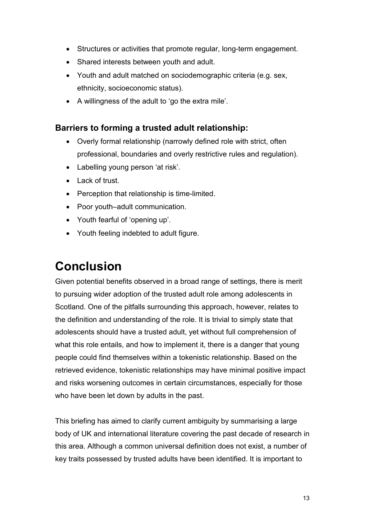- Structures or activities that promote regular, long-term engagement.
- Shared interests between youth and adult.
- Youth and adult matched on sociodemographic criteria (e.g. sex, ethnicity, socioeconomic status).
- A willingness of the adult to 'go the extra mile'.

### **Barriers to forming a trusted adult relationship:**

- Overly formal relationship (narrowly defined role with strict, often professional, boundaries and overly restrictive rules and regulation).
- Labelling young person 'at risk'.
- Lack of trust.
- Perception that relationship is time-limited.
- Poor youth–adult communication.
- Youth fearful of 'opening up'.
- Youth feeling indebted to adult figure.

## <span id="page-14-0"></span>**Conclusion**

Given potential benefits observed in a broad range of settings, there is merit to pursuing wider adoption of the trusted adult role among adolescents in Scotland. One of the pitfalls surrounding this approach, however, relates to the definition and understanding of the role. It is trivial to simply state that adolescents should have a trusted adult, yet without full comprehension of what this role entails, and how to implement it, there is a danger that young people could find themselves within a tokenistic relationship. Based on the retrieved evidence, tokenistic relationships may have minimal positive impact and risks worsening outcomes in certain circumstances, especially for those who have been let down by adults in the past.

This briefing has aimed to clarify current ambiguity by summarising a large body of UK and international literature covering the past decade of research in this area. Although a common universal definition does not exist, a number of key traits possessed by trusted adults have been identified. It is important to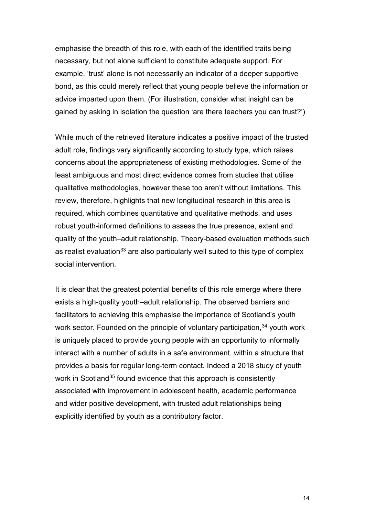emphasise the breadth of this role, with each of the identified traits being necessary, but not alone sufficient to constitute adequate support. For example, 'trust' alone is not necessarily an indicator of a deeper supportive bond, as this could merely reflect that young people believe the information or advice imparted upon them. (For illustration, consider what insight can be gained by asking in isolation the question 'are there teachers you can trust?')

While much of the retrieved literature indicates a positive impact of the trusted adult role, findings vary significantly according to study type, which raises concerns about the appropriateness of existing methodologies. Some of the least ambiguous and most direct evidence comes from studies that utilise qualitative methodologies, however these too aren't without limitations. This review, therefore, highlights that new longitudinal research in this area is required, which combines quantitative and qualitative methods, and uses robust youth-informed definitions to assess the true presence, extent and quality of the youth–adult relationship. Theory-based evaluation methods such as realist evaluation<sup>[33](#page-25-4)</sup> are also particularly well suited to this type of complex social intervention.

It is clear that the greatest potential benefits of this role emerge where there exists a high-quality youth–adult relationship. The observed barriers and facilitators to achieving this emphasise the importance of Scotland's youth work sector. Founded on the principle of voluntary participation,<sup>[34](#page-25-5)</sup> youth work is uniquely placed to provide young people with an opportunity to informally interact with a number of adults in a safe environment, within a structure that provides a basis for regular long-term contact. Indeed a 2018 study of youth work in Scotland<sup>[35](#page-25-6)</sup> found evidence that this approach is consistently associated with improvement in adolescent health, academic performance and wider positive development, with trusted adult relationships being explicitly identified by youth as a contributory factor.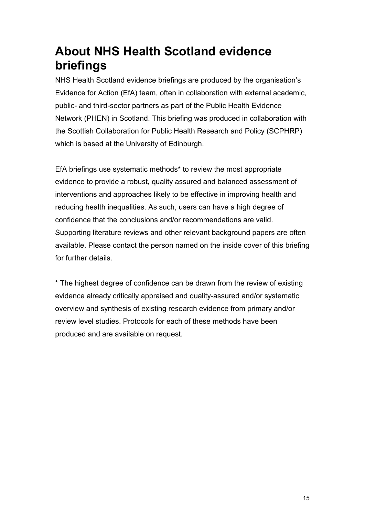# <span id="page-16-0"></span>**About NHS Health Scotland evidence briefings**

NHS Health Scotland evidence briefings are produced by the organisation's Evidence for Action (EfA) team, often in collaboration with external academic, public- and third-sector partners as part of the Public Health Evidence Network (PHEN) in Scotland. This briefing was produced in collaboration with the Scottish Collaboration for Public Health Research and Policy (SCPHRP) which is based at the University of Edinburgh.

EfA briefings use systematic methods\* to review the most appropriate evidence to provide a robust, quality assured and balanced assessment of interventions and approaches likely to be effective in improving health and reducing health inequalities. As such, users can have a high degree of confidence that the conclusions and/or recommendations are valid. Supporting literature reviews and other relevant background papers are often available. Please contact the person named on the inside cover of this briefing for further details.

\* The highest degree of confidence can be drawn from the review of existing evidence already critically appraised and quality-assured and/or systematic overview and synthesis of existing research evidence from primary and/or review level studies. Protocols for each of these methods have been produced and are available on request.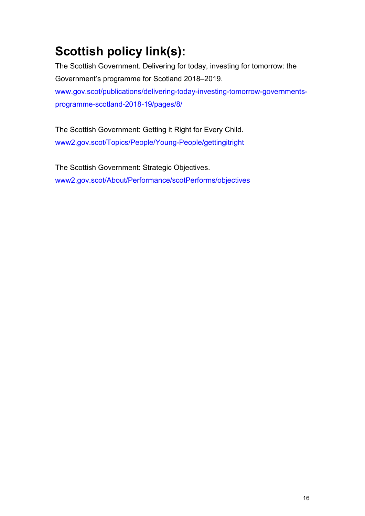# <span id="page-17-0"></span>**Scottish policy link(s):**

The Scottish Government. Delivering for today, investing for tomorrow: the Government's programme for Scotland 2018–2019. [www.gov.scot/publications/delivering-today-investing-tomorrow-governments](http://www.gov.scot/publications/delivering-today-investing-tomorrow-governments-programme-scotland-2018-19/pages/8/)[programme-scotland-2018-19/pages/8/](http://www.gov.scot/publications/delivering-today-investing-tomorrow-governments-programme-scotland-2018-19/pages/8/)

The Scottish Government: Getting it Right for Every Child. [www2.gov.scot/Topics/People/Young-People/gettingitright](https://www2.gov.scot/Topics/People/Young-People/gettingitright)

The Scottish Government: Strategic Objectives. [www2.gov.scot/About/Performance/scotPerforms/objectives](https://www2.gov.scot/About/Performance/scotPerforms/objectives)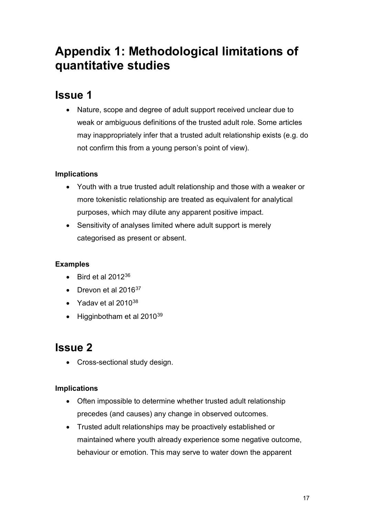## <span id="page-18-0"></span>**Appendix 1: Methodological limitations of quantitative studies**

## **Issue 1**

• Nature, scope and degree of adult support received unclear due to weak or ambiguous definitions of the trusted adult role. Some articles may inappropriately infer that a trusted adult relationship exists (e.g. do not confirm this from a young person's point of view).

### **Implications**

- Youth with a true trusted adult relationship and those with a weaker or more tokenistic relationship are treated as equivalent for analytical purposes, which may dilute any apparent positive impact.
- Sensitivity of analyses limited where adult support is merely categorised as present or absent.

### **Examples**

- Bird et al  $2012^{36}$  $2012^{36}$  $2012^{36}$
- Drevon et al  $2016^{37}$  $2016^{37}$  $2016^{37}$
- Yaday et al  $2010^{38}$  $2010^{38}$  $2010^{38}$
- $\bullet$  Higginbotham et al 2010 $^{39}$  $^{39}$  $^{39}$

## **Issue 2**

• Cross-sectional study design.

### **Implications**

- Often impossible to determine whether trusted adult relationship precedes (and causes) any change in observed outcomes.
- Trusted adult relationships may be proactively established or maintained where youth already experience some negative outcome, behaviour or emotion. This may serve to water down the apparent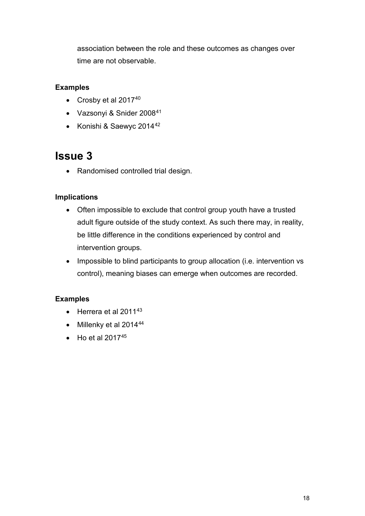association between the role and these outcomes as changes over time are not observable.

#### **Examples**

- Crosby et al 2017<sup>[40](#page-26-2)</sup>
- Vazsonyi & Snider 2008[41](#page-26-3)
- Konishi & Saewyc 2014[42](#page-26-4)

### **Issue 3**

• Randomised controlled trial design.

#### **Implications**

- Often impossible to exclude that control group youth have a trusted adult figure outside of the study context. As such there may, in reality, be little difference in the conditions experienced by control and intervention groups.
- Impossible to blind participants to group allocation (i.e. intervention vs control), meaning biases can emerge when outcomes are recorded.

#### **Examples**

- $\bullet$  Herrera et al 2011<sup>[43](#page-26-5)</sup>
- Millenky et al  $2014^{44}$  $2014^{44}$  $2014^{44}$
- $\bullet$  Ho et al 2017<sup>[45](#page-26-7)</sup>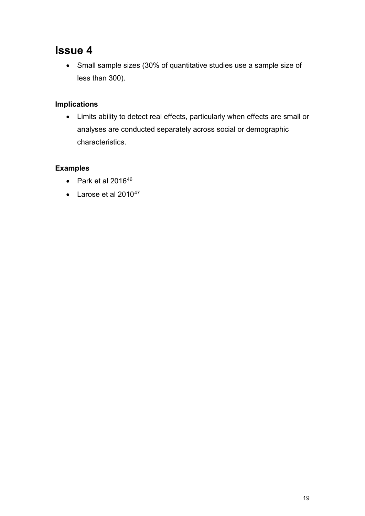### **Issue 4**

• Small sample sizes (30% of quantitative studies use a sample size of less than 300).

### **Implications**

• Limits ability to detect real effects, particularly when effects are small or analyses are conducted separately across social or demographic characteristics.

#### **Examples**

- Park et al  $2016^{46}$  $2016^{46}$  $2016^{46}$
- Larose et al  $2010^{47}$  $2010^{47}$  $2010^{47}$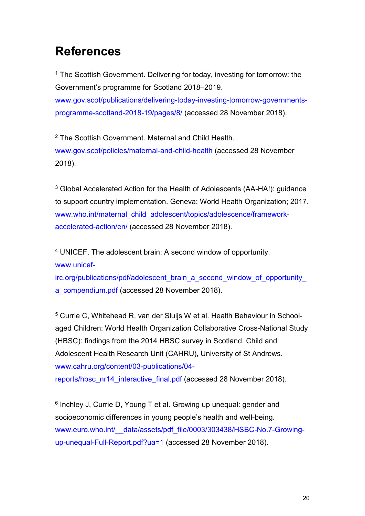## <span id="page-21-0"></span>**References**

-

<span id="page-21-1"></span><sup>1</sup> The Scottish Government. Delivering for today, investing for tomorrow: the Government's programme for Scotland 2018–2019. [www.gov.scot/publications/delivering-today-investing-tomorrow-governments](http://www.gov.scot/publications/delivering-today-investing-tomorrow-governments-programme-scotland-2018-19/pages/8/)[programme-scotland-2018-19/pages/8/](http://www.gov.scot/publications/delivering-today-investing-tomorrow-governments-programme-scotland-2018-19/pages/8/) (accessed 28 November 2018).

<span id="page-21-2"></span><sup>2</sup> The Scottish Government. Maternal and Child Health. [www.gov.scot/policies/maternal-and-child-health](http://www.gov.scot/policies/maternal-and-child-health) (accessed 28 November 2018).

<span id="page-21-3"></span><sup>3</sup> Global Accelerated Action for the Health of Adolescents (AA-HA!): guidance to support country implementation. Geneva: World Health Organization; 2017. [www.who.int/maternal\\_child\\_adolescent/topics/adolescence/framework](http://www.who.int/maternal_child_adolescent/topics/adolescence/framework-accelerated-action/en/)[accelerated-action/en/](http://www.who.int/maternal_child_adolescent/topics/adolescence/framework-accelerated-action/en/) (accessed 28 November 2018).

<span id="page-21-4"></span><sup>4</sup> UNICEF. The adolescent brain: A second window of opportunity. [www.unicef-](http://www.unicef-irc.org/publications/pdf/adolescent_brain_a_second_window_of_opportunity_a_compendium.pdf)

[irc.org/publications/pdf/adolescent\\_brain\\_a\\_second\\_window\\_of\\_opportunity\\_](http://www.unicef-irc.org/publications/pdf/adolescent_brain_a_second_window_of_opportunity_a_compendium.pdf) [a\\_compendium.pdf](http://www.unicef-irc.org/publications/pdf/adolescent_brain_a_second_window_of_opportunity_a_compendium.pdf) (accessed 28 November 2018).

<span id="page-21-5"></span><sup>5</sup> Currie C, Whitehead R, van der Sluijs W et al. Health Behaviour in Schoolaged Children: World Health Organization Collaborative Cross-National Study (HBSC): findings from the 2014 HBSC survey in Scotland. Child and Adolescent Health Research Unit (CAHRU), University of St Andrews. [www.cahru.org/content/03-publications/04-](http://www.cahru.org/content/03-publications/04-reports/hbsc_nr14_interactive_final.pdf)

[reports/hbsc\\_nr14\\_interactive\\_final.pdf](http://www.cahru.org/content/03-publications/04-reports/hbsc_nr14_interactive_final.pdf) (accessed 28 November 2018).

<span id="page-21-6"></span><sup>6</sup> Inchley J, Currie D, Young T et al. Growing up unequal: gender and socioeconomic differences in young people's health and well-being. www.euro.who.int/ data/assets/pdf\_file/0003/303438/HSBC-No.7-Growing[up-unequal-Full-Report.pdf?ua=1](http://www.euro.who.int/__data/assets/pdf_file/0003/303438/HSBC-No.7-Growing-up-unequal-Full-Report.pdf?ua=1) (accessed 28 November 2018).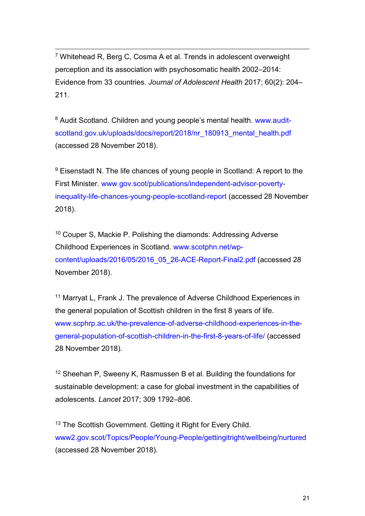<span id="page-22-0"></span>-<sup>7</sup> Whitehead R, Berg C, Cosma A et al. Trends in adolescent overweight perception and its association with psychosomatic health 2002–2014: Evidence from 33 countries. *Journal of Adolescent Health* 2017; 60(2): 204– 211.

<span id="page-22-1"></span><sup>8</sup> Audit Scotland. Children and young people's mental health. [www.audit](http://www.audit-scotland.gov.uk/uploads/docs/report/2018/nr_180913_mental_health.pdf)[scotland.gov.uk/uploads/docs/report/2018/nr\\_180913\\_mental\\_health.pdf](http://www.audit-scotland.gov.uk/uploads/docs/report/2018/nr_180913_mental_health.pdf) (accessed 28 November 2018).

<span id="page-22-2"></span><sup>9</sup> Eisenstadt N. The life chances of young people in Scotland: A report to the First Minister. [www.gov.scot/publications/independent-advisor-poverty](http://www.gov.scot/publications/independent-advisor-poverty-inequality-life-chances-young-people-scotland-report)[inequality-life-chances-young-people-scotland-report](http://www.gov.scot/publications/independent-advisor-poverty-inequality-life-chances-young-people-scotland-report) (accessed 28 November 2018).

<span id="page-22-3"></span><sup>10</sup> Couper S, Mackie P. Polishing the diamonds: Addressing Adverse Childhood Experiences in Scotland. [www.scotphn.net/wp](http://www.scotphn.net/wp-content/uploads/2016/05/2016_05_26-ACE-Report-Final2.pdf)[content/uploads/2016/05/2016\\_05\\_26-ACE-Report-Final2.pdf](http://www.scotphn.net/wp-content/uploads/2016/05/2016_05_26-ACE-Report-Final2.pdf) (accessed 28 November 2018).

<span id="page-22-4"></span><sup>11</sup> Marryat L, Frank J. The prevalence of Adverse Childhood Experiences in the general population of Scottish children in the first 8 years of life. [www.scphrp.ac.uk/the-prevalence-of-adverse-childhood-experiences-in-the](http://www.scphrp.ac.uk/the-prevalence-of-adverse-childhood-experiences-in-the-general-population-of-scottish-children-in-the-first-8-years-of-life/)[general-population-of-scottish-children-in-the-first-8-years-of-life/](http://www.scphrp.ac.uk/the-prevalence-of-adverse-childhood-experiences-in-the-general-population-of-scottish-children-in-the-first-8-years-of-life/) (accessed 28 November 2018).

<span id="page-22-5"></span><sup>12</sup> Sheehan P, Sweeny K, Rasmussen B et al. Building the foundations for sustainable development: a case for global investment in the capabilities of adolescents. *Lancet* 2017; 309 1792–806.

<span id="page-22-6"></span><sup>13</sup> The Scottish Government. Getting it Right for Every Child. [www2.gov.scot/Topics/People/Young-People/gettingitright/wellbeing/nurtured](https://www2.gov.scot/Topics/People/Young-People/gettingitright/wellbeing/nurtured) (accessed 28 November 2018).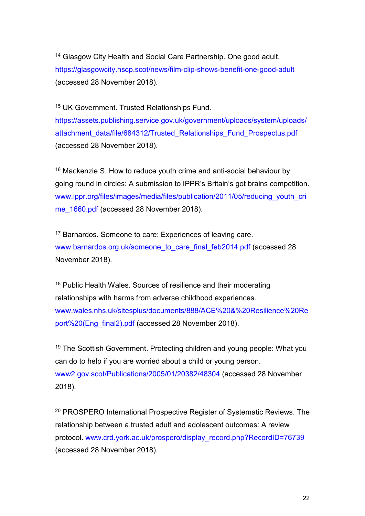<span id="page-23-0"></span>-<sup>14</sup> Glasgow City Health and Social Care Partnership. One good adult. <https://glasgowcity.hscp.scot/news/film-clip-shows-benefit-one-good-adult> (accessed 28 November 2018).

<span id="page-23-1"></span><sup>15</sup> UK Government. Trusted Relationships Fund.

[https://assets.publishing.service.gov.uk/government/uploads/system/uploads/](https://assets.publishing.service.gov.uk/government/uploads/system/uploads/attachment_data/file/684312/Trusted_Relationships_Fund_Prospectus.pdf) [attachment\\_data/file/684312/Trusted\\_Relationships\\_Fund\\_Prospectus.pdf](https://assets.publishing.service.gov.uk/government/uploads/system/uploads/attachment_data/file/684312/Trusted_Relationships_Fund_Prospectus.pdf) (accessed 28 November 2018).

<span id="page-23-2"></span><sup>16</sup> Mackenzie S. How to reduce youth crime and anti-social behaviour by going round in circles: A submission to IPPR's Britain's got brains competition. [www.ippr.org/files/images/media/files/publication/2011/05/reducing\\_youth\\_cri](http://www.ippr.org/files/images/media/files/publication/2011/05/reducing_youth_crime_1660.pdf) [me\\_1660.pdf](http://www.ippr.org/files/images/media/files/publication/2011/05/reducing_youth_crime_1660.pdf) (accessed 28 November 2018).

<span id="page-23-3"></span><sup>17</sup> Barnardos. Someone to care: Experiences of leaving care. [www.barnardos.org.uk/someone\\_to\\_care\\_final\\_feb2014.pdf](http://www.barnardos.org.uk/someone_to_care_final_feb2014.pdf) (accessed 28 November 2018).

<span id="page-23-4"></span><sup>18</sup> Public Health Wales. Sources of resilience and their moderating relationships with harms from adverse childhood experiences. [www.wales.nhs.uk/sitesplus/documents/888/ACE%20&%20Resilience%20Re](http://www.wales.nhs.uk/sitesplus/documents/888/ACE%20&%20Resilience%20Report%20(Eng_final2).pdf) [port%20\(Eng\\_final2\).pdf](http://www.wales.nhs.uk/sitesplus/documents/888/ACE%20&%20Resilience%20Report%20(Eng_final2).pdf) (accessed 28 November 2018).

<span id="page-23-5"></span><sup>19</sup> The Scottish Government. Protecting children and young people: What you can do to help if you are worried about a child or young person. [www2.gov.scot/Publications/2005/01/20382/48304](https://www2.gov.scot/Publications/2005/01/20382/48304) (accessed 28 November 2018).

<span id="page-23-6"></span><sup>20</sup> PROSPERO International Prospective Register of Systematic Reviews. The relationship between a trusted adult and adolescent outcomes: A review protocol. [www.crd.york.ac.uk/prospero/display\\_record.php?RecordID=76739](http://www.crd.york.ac.uk/prospero/display_record.php?RecordID=76739) (accessed 28 November 2018).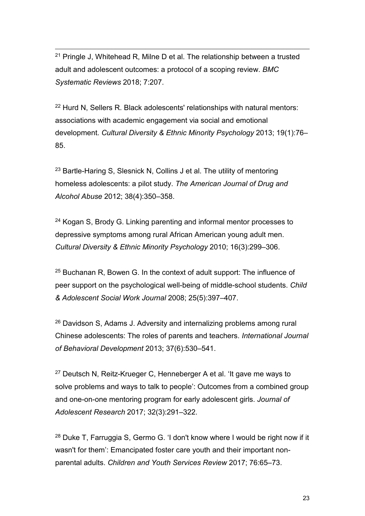<span id="page-24-0"></span>-<sup>21</sup> Pringle J, Whitehead R, Milne D et al. The relationship between a trusted adult and adolescent outcomes: a protocol of a scoping review. *BMC Systematic Reviews* 2018; 7:207.

<span id="page-24-1"></span><sup>22</sup> Hurd N, Sellers R. Black adolescents' relationships with natural mentors: associations with academic engagement via social and emotional development. *Cultural Diversity & Ethnic Minority Psychology* 2013; 19(1):76– 85.

<span id="page-24-2"></span><sup>23</sup> Bartle-Haring S, Slesnick N, Collins J et al. The utility of mentoring homeless adolescents: a pilot study. *The American Journal of Drug and Alcohol Abuse* 2012; 38(4):350–358.

<span id="page-24-3"></span><sup>24</sup> Kogan S, Brody G. Linking parenting and informal mentor processes to depressive symptoms among rural African American young adult men. *Cultural Diversity & Ethnic Minority Psychology* 2010; 16(3):299–306.

<span id="page-24-4"></span><sup>25</sup> Buchanan R, Bowen G. In the context of adult support: The influence of peer support on the psychological well-being of middle-school students. *Child & Adolescent Social Work Journal* 2008; 25(5):397–407.

<span id="page-24-5"></span><sup>26</sup> Davidson S, Adams J. Adversity and internalizing problems among rural Chinese adolescents: The roles of parents and teachers. *International Journal of Behavioral Development* 2013; 37(6):530–541.

<span id="page-24-6"></span><sup>27</sup> Deutsch N, Reitz-Krueger C, Henneberger A et al. 'It gave me ways to solve problems and ways to talk to people': Outcomes from a combined group and one-on-one mentoring program for early adolescent girls. *Journal of Adolescent Research* 2017; 32(3):291–322.

<span id="page-24-7"></span><sup>28</sup> Duke T, Farruggia S, Germo G. 'I don't know where I would be right now if it wasn't for them': Emancipated foster care youth and their important nonparental adults. *Children and Youth Services Review* 2017; 76:65–73.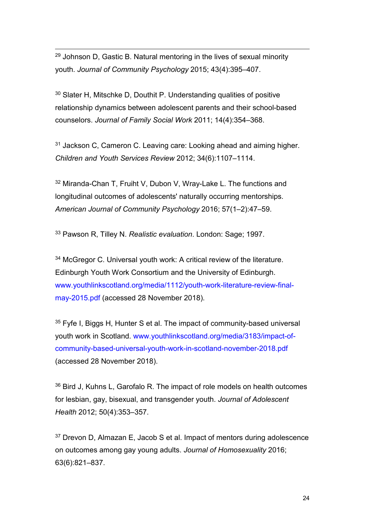<span id="page-25-0"></span> $29$  Johnson D, Gastic B. Natural mentoring in the lives of sexual minority youth. *Journal of Community Psychology* 2015; 43(4):395–407.

-

<span id="page-25-1"></span><sup>30</sup> Slater H, Mitschke D, Douthit P. Understanding qualities of positive relationship dynamics between adolescent parents and their school-based counselors. *Journal of Family Social Work* 2011; 14(4):354–368.

<span id="page-25-2"></span><sup>31</sup> Jackson C, Cameron C. Leaving care: Looking ahead and aiming higher. *Children and Youth Services Review* 2012; 34(6):1107–1114.

<span id="page-25-3"></span><sup>32</sup> Miranda-Chan T, Fruiht V, Dubon V, Wray-Lake L. The functions and longitudinal outcomes of adolescents' naturally occurring mentorships. *American Journal of Community Psychology* 2016; 57(1–2):47–59.

<span id="page-25-4"></span><sup>33</sup> Pawson R, Tilley N. *Realistic evaluation*. London: Sage; 1997.

<span id="page-25-5"></span><sup>34</sup> McGregor C. Universal youth work: A critical review of the literature. Edinburgh Youth Work Consortium and the University of Edinburgh. [www.youthlinkscotland.org/media/1112/youth-work-literature-review-final](http://www.youthlinkscotland.org/media/1112/youth-work-literature-review-final-may-2015.pdf)[may-2015.pdf](http://www.youthlinkscotland.org/media/1112/youth-work-literature-review-final-may-2015.pdf) (accessed 28 November 2018).

<span id="page-25-6"></span><sup>35</sup> Fyfe I, Biggs H, Hunter S et al. The impact of community-based universal youth work in Scotland. [www.youthlinkscotland.org/media/3183/impact-of](http://www.youthlinkscotland.org/media/3183/impact-of-community-based-universal-youth-work-in-scotland-november-2018.pdf)[community-based-universal-youth-work-in-scotland-november-2018.pdf](http://www.youthlinkscotland.org/media/3183/impact-of-community-based-universal-youth-work-in-scotland-november-2018.pdf) (accessed 28 November 2018).

<span id="page-25-7"></span><sup>36</sup> Bird J, Kuhns L, Garofalo R. The impact of role models on health outcomes for lesbian, gay, bisexual, and transgender youth. *Journal of Adolescent Health* 2012; 50(4):353–357.

<span id="page-25-8"></span><sup>37</sup> Drevon D, Almazan E, Jacob S et al. Impact of mentors during adolescence on outcomes among gay young adults. *Journal of Homosexuality* 2016; 63(6):821–837.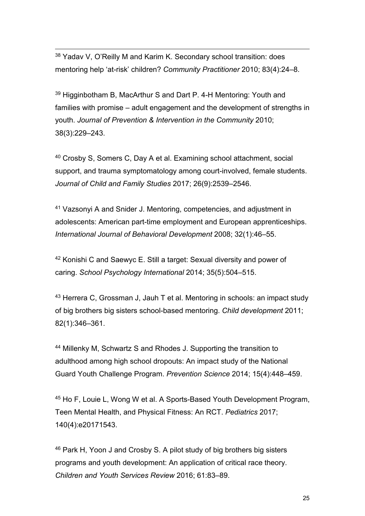<span id="page-26-0"></span>-<sup>38</sup> Yadav V, O'Reilly M and Karim K. Secondary school transition: does mentoring help 'at-risk' children? *Community Practitioner* 2010; 83(4):24–8.

<span id="page-26-1"></span><sup>39</sup> Higginbotham B, MacArthur S and Dart P. 4-H Mentoring: Youth and families with promise – adult engagement and the development of strengths in youth. *Journal of Prevention & Intervention in the Community* 2010; 38(3):229–243.

<span id="page-26-2"></span><sup>40</sup> Crosby S, Somers C, Day A et al. Examining school attachment, social support, and trauma symptomatology among court-involved, female students. *Journal of Child and Family Studies* 2017; 26(9):2539–2546.

<span id="page-26-3"></span><sup>41</sup> Vazsonyi A and Snider J. Mentoring, competencies, and adjustment in adolescents: American part-time employment and European apprenticeships. *International Journal of Behavioral Development* 2008; 32(1):46–55.

<span id="page-26-4"></span><sup>42</sup> Konishi C and Saewyc E. Still a target: Sexual diversity and power of caring. *School Psychology International* 2014; 35(5):504–515.

<span id="page-26-5"></span><sup>43</sup> Herrera C, Grossman J, Jauh T et al. Mentoring in schools: an impact study of big brothers big sisters school-based mentoring. *Child development* 2011; 82(1):346–361.

<span id="page-26-6"></span><sup>44</sup> Millenky M, Schwartz S and Rhodes J. Supporting the transition to adulthood among high school dropouts: An impact study of the National Guard Youth Challenge Program. *Prevention Science* 2014; 15(4):448–459.

<span id="page-26-7"></span><sup>45</sup> Ho F, Louie L, Wong W et al. A Sports-Based Youth Development Program, Teen Mental Health, and Physical Fitness: An RCT. *Pediatrics* 2017; 140(4):e20171543.

<span id="page-26-8"></span><sup>46</sup> Park H, Yoon J and Crosby S. A pilot study of big brothers big sisters programs and youth development: An application of critical race theory. *Children and Youth Services Review* 2016; 61:83–89.